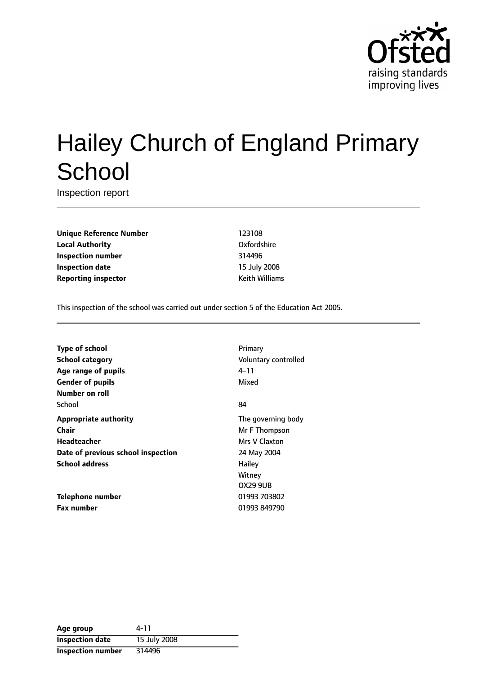

# Hailey Church of England Primary **School**

Inspection report

**Unique Reference Number** 123108 **Local Authority** Oxfordshire **Inspection number** 314496 **Inspection date** 15 July 2008 **Reporting inspector Contracts Example 20 AM** Keith Williams

This inspection of the school was carried out under section 5 of the Education Act 2005.

**Type of school** Primary **School category CONSIDER SCHOOL CATEGORY** Voluntary controlled **Age** range of pupils **Age** *Pupils* 4-11 **Gender of pupils** Mixed **Number on roll** School 84 **Appropriate authority** The governing body **Chair** Mr F Thompson **Headteacher** Mrs V Claxton **Date of previous school inspection** 24 May 2004 **School address** Hailey

**Fax number** 01993 849790

Witney OX29 9UB **Telephone number** 01993 703802

| Age group                | 4-11         |
|--------------------------|--------------|
| <b>Inspection date</b>   | 15 July 2008 |
| <b>Inspection number</b> | 314496       |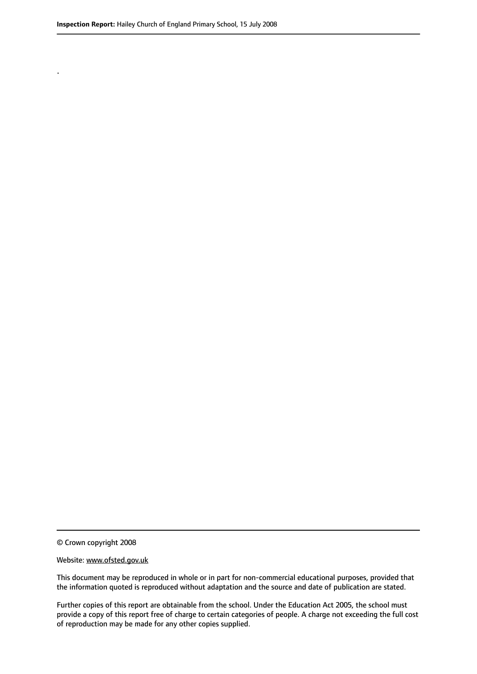.

© Crown copyright 2008

#### Website: www.ofsted.gov.uk

This document may be reproduced in whole or in part for non-commercial educational purposes, provided that the information quoted is reproduced without adaptation and the source and date of publication are stated.

Further copies of this report are obtainable from the school. Under the Education Act 2005, the school must provide a copy of this report free of charge to certain categories of people. A charge not exceeding the full cost of reproduction may be made for any other copies supplied.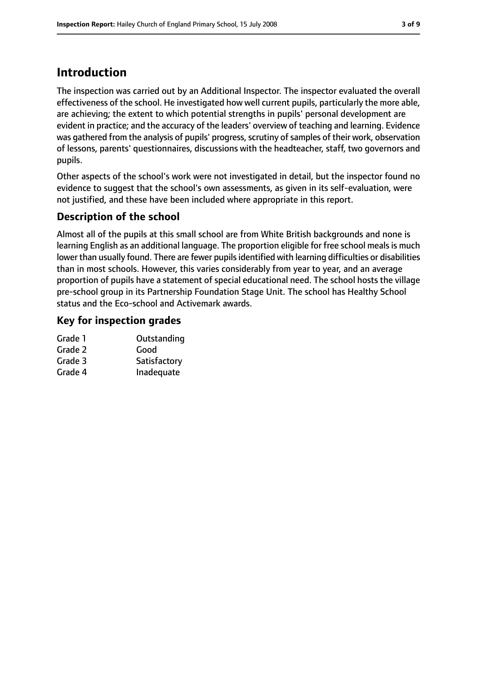# **Introduction**

The inspection was carried out by an Additional Inspector. The inspector evaluated the overall effectiveness of the school. He investigated how well current pupils, particularly the more able, are achieving; the extent to which potential strengths in pupils' personal development are evident in practice; and the accuracy of the leaders' overview of teaching and learning. Evidence was gathered from the analysis of pupils' progress, scrutiny of samples of their work, observation of lessons, parents' questionnaires, discussions with the headteacher, staff, two governors and pupils.

Other aspects of the school's work were not investigated in detail, but the inspector found no evidence to suggest that the school's own assessments, as given in its self-evaluation, were not justified, and these have been included where appropriate in this report.

# **Description of the school**

Almost all of the pupils at this small school are from White British backgrounds and none is learning English as an additional language. The proportion eligible for free school meals is much lower than usually found. There are fewer pupils identified with learning difficulties or disabilities than in most schools. However, this varies considerably from year to year, and an average proportion of pupils have a statement of special educational need. The school hosts the village pre-school group in its Partnership Foundation Stage Unit. The school has Healthy School status and the Eco-school and Activemark awards.

# **Key for inspection grades**

| Outstanding  |
|--------------|
| Good         |
| Satisfactory |
| Inadequate   |
|              |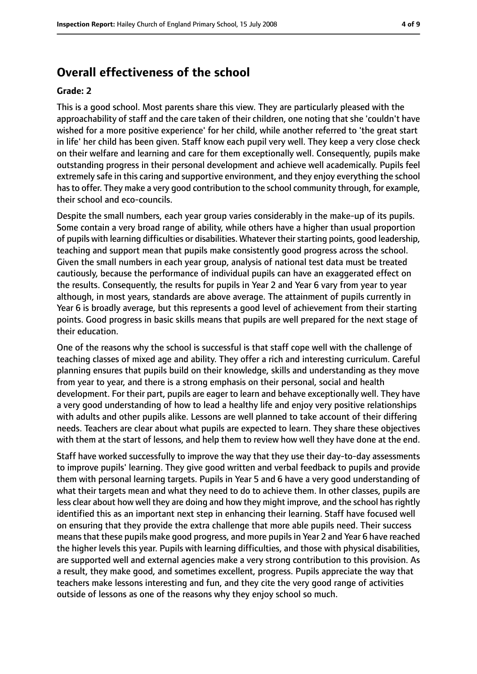# **Overall effectiveness of the school**

#### **Grade: 2**

This is a good school. Most parents share this view. They are particularly pleased with the approachability of staff and the care taken of their children, one noting that she 'couldn't have wished for a more positive experience' for her child, while another referred to 'the great start in life' her child has been given. Staff know each pupil very well. They keep a very close check on their welfare and learning and care for them exceptionally well. Consequently, pupils make outstanding progress in their personal development and achieve well academically. Pupils feel extremely safe in this caring and supportive environment, and they enjoy everything the school hasto offer. They make a very good contribution to the school community through, for example, their school and eco-councils.

Despite the small numbers, each year group varies considerably in the make-up of its pupils. Some contain a very broad range of ability, while others have a higher than usual proportion of pupils with learning difficulties or disabilities. Whatever their starting points, good leadership, teaching and support mean that pupils make consistently good progress across the school. Given the small numbers in each year group, analysis of national test data must be treated cautiously, because the performance of individual pupils can have an exaggerated effect on the results. Consequently, the results for pupils in Year 2 and Year 6 vary from year to year although, in most years, standards are above average. The attainment of pupils currently in Year 6 is broadly average, but this represents a good level of achievement from their starting points. Good progress in basic skills means that pupils are well prepared for the next stage of their education.

One of the reasons why the school is successful is that staff cope well with the challenge of teaching classes of mixed age and ability. They offer a rich and interesting curriculum. Careful planning ensures that pupils build on their knowledge, skills and understanding as they move from year to year, and there is a strong emphasis on their personal, social and health development. For their part, pupils are eager to learn and behave exceptionally well. They have a very good understanding of how to lead a healthy life and enjoy very positive relationships with adults and other pupils alike. Lessons are well planned to take account of their differing needs. Teachers are clear about what pupils are expected to learn. They share these objectives with them at the start of lessons, and help them to review how well they have done at the end.

Staff have worked successfully to improve the way that they use their day-to-day assessments to improve pupils' learning. They give good written and verbal feedback to pupils and provide them with personal learning targets. Pupils in Year 5 and 6 have a very good understanding of what their targets mean and what they need to do to achieve them. In other classes, pupils are less clear about how well they are doing and how they might improve, and the school has rightly identified this as an important next step in enhancing their learning. Staff have focused well on ensuring that they provide the extra challenge that more able pupils need. Their success meansthat these pupils make good progress, and more pupilsin Year 2 and Year 6 have reached the higher levels this year. Pupils with learning difficulties, and those with physical disabilities, are supported well and external agencies make a very strong contribution to this provision. As a result, they make good, and sometimes excellent, progress. Pupils appreciate the way that teachers make lessons interesting and fun, and they cite the very good range of activities outside of lessons as one of the reasons why they enjoy school so much.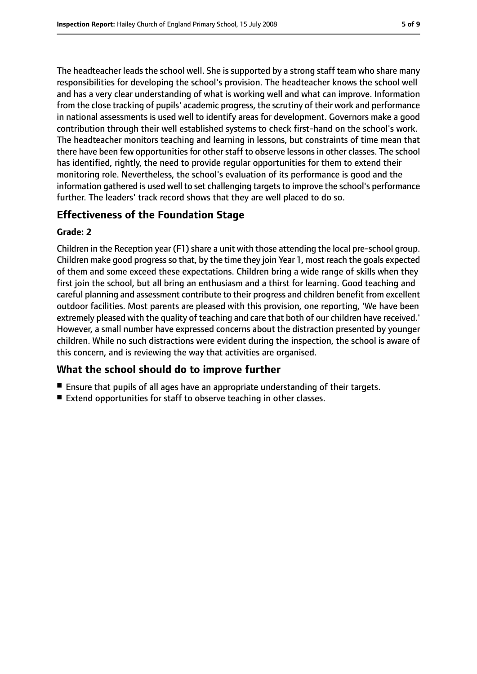The headteacher leads the school well. She is supported by a strong staff team who share many responsibilities for developing the school's provision. The headteacher knows the school well and has a very clear understanding of what is working well and what can improve. Information from the close tracking of pupils' academic progress, the scrutiny of their work and performance in national assessments is used well to identify areas for development. Governors make a good contribution through their well established systems to check first-hand on the school's work. The headteacher monitors teaching and learning in lessons, but constraints of time mean that there have been few opportunities for other staff to observe lessons in other classes. The school has identified, rightly, the need to provide regular opportunities for them to extend their monitoring role. Nevertheless, the school's evaluation of its performance is good and the information gathered is used well to set challenging targets to improve the school's performance further. The leaders' track record shows that they are well placed to do so.

# **Effectiveness of the Foundation Stage**

#### **Grade: 2**

Children in the Reception year (F1) share a unit with those attending the local pre-school group. Children make good progress so that, by the time they join Year 1, most reach the goals expected of them and some exceed these expectations. Children bring a wide range of skills when they first join the school, but all bring an enthusiasm and a thirst for learning. Good teaching and careful planning and assessment contribute to their progress and children benefit from excellent outdoor facilities. Most parents are pleased with this provision, one reporting, 'We have been extremely pleased with the quality of teaching and care that both of our children have received.' However, a small number have expressed concerns about the distraction presented by younger children. While no such distractions were evident during the inspection, the school is aware of this concern, and is reviewing the way that activities are organised.

# **What the school should do to improve further**

- Ensure that pupils of all ages have an appropriate understanding of their targets.
- Extend opportunities for staff to observe teaching in other classes.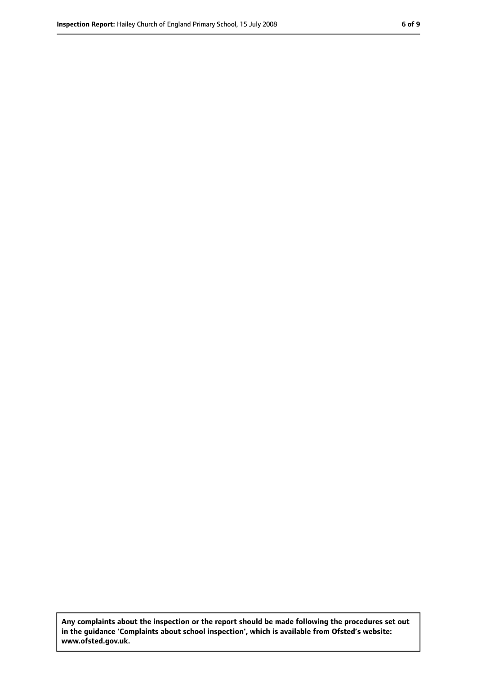**Any complaints about the inspection or the report should be made following the procedures set out in the guidance 'Complaints about school inspection', which is available from Ofsted's website: www.ofsted.gov.uk.**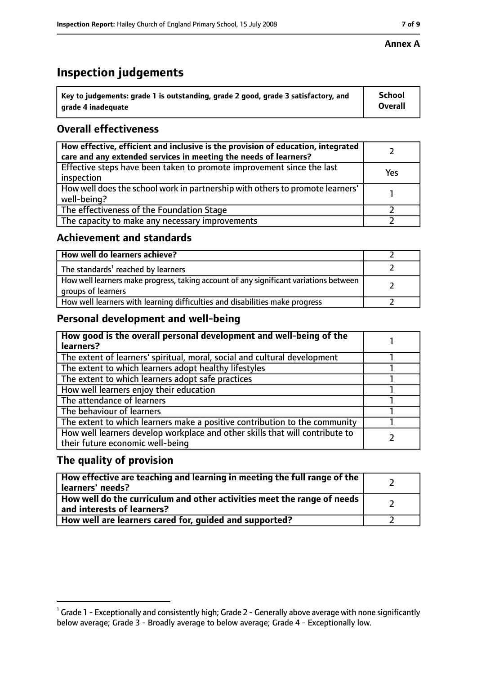# **Inspection judgements**

| $^{\backprime}$ Key to judgements: grade 1 is outstanding, grade 2 good, grade 3 satisfactory, and | <b>School</b>  |
|----------------------------------------------------------------------------------------------------|----------------|
| arade 4 inadequate                                                                                 | <b>Overall</b> |

# **Overall effectiveness**

| How effective, efficient and inclusive is the provision of education, integrated<br>care and any extended services in meeting the needs of learners? |     |
|------------------------------------------------------------------------------------------------------------------------------------------------------|-----|
| Effective steps have been taken to promote improvement since the last<br>inspection                                                                  | Yes |
| How well does the school work in partnership with others to promote learners'<br>well-being?                                                         |     |
| The effectiveness of the Foundation Stage                                                                                                            |     |
| The capacity to make any necessary improvements                                                                                                      |     |

### **Achievement and standards**

| How well do learners achieve?                                                                               |  |
|-------------------------------------------------------------------------------------------------------------|--|
| The standards <sup>1</sup> reached by learners                                                              |  |
| How well learners make progress, taking account of any significant variations between<br>groups of learners |  |
| How well learners with learning difficulties and disabilities make progress                                 |  |

# **Personal development and well-being**

| How good is the overall personal development and well-being of the<br>learners?                                  |  |
|------------------------------------------------------------------------------------------------------------------|--|
| The extent of learners' spiritual, moral, social and cultural development                                        |  |
| The extent to which learners adopt healthy lifestyles                                                            |  |
| The extent to which learners adopt safe practices                                                                |  |
| How well learners enjoy their education                                                                          |  |
| The attendance of learners                                                                                       |  |
| The behaviour of learners                                                                                        |  |
| The extent to which learners make a positive contribution to the community                                       |  |
| How well learners develop workplace and other skills that will contribute to<br>their future economic well-being |  |

# **The quality of provision**

| How effective are teaching and learning in meeting the full range of the<br>learners' needs?          |  |
|-------------------------------------------------------------------------------------------------------|--|
| How well do the curriculum and other activities meet the range of needs<br>and interests of learners? |  |
| How well are learners cared for, guided and supported?                                                |  |

 $^1$  Grade 1 - Exceptionally and consistently high; Grade 2 - Generally above average with none significantly below average; Grade 3 - Broadly average to below average; Grade 4 - Exceptionally low.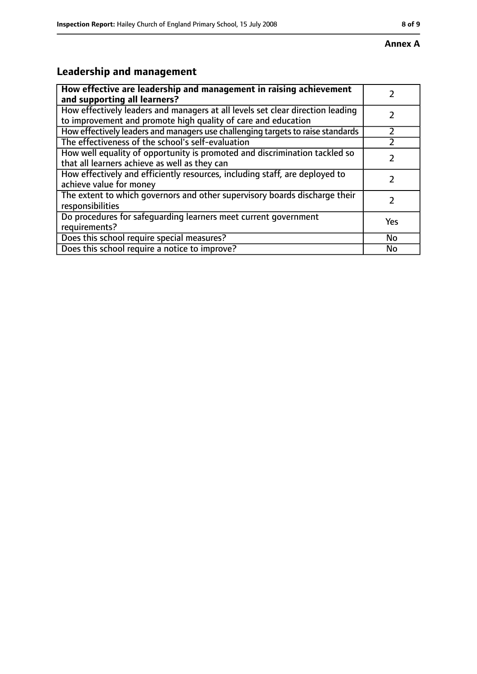# **Leadership and management**

| How effective are leadership and management in raising achievement              |     |
|---------------------------------------------------------------------------------|-----|
| and supporting all learners?                                                    |     |
| How effectively leaders and managers at all levels set clear direction leading  |     |
| to improvement and promote high quality of care and education                   |     |
| How effectively leaders and managers use challenging targets to raise standards |     |
| The effectiveness of the school's self-evaluation                               |     |
| How well equality of opportunity is promoted and discrimination tackled so      |     |
| that all learners achieve as well as they can                                   |     |
| How effectively and efficiently resources, including staff, are deployed to     | 7   |
| achieve value for money                                                         |     |
| The extent to which governors and other supervisory boards discharge their      |     |
| responsibilities                                                                |     |
| Do procedures for safequarding learners meet current government                 | Yes |
| requirements?                                                                   |     |
| Does this school require special measures?                                      | No  |
| Does this school require a notice to improve?                                   | No  |